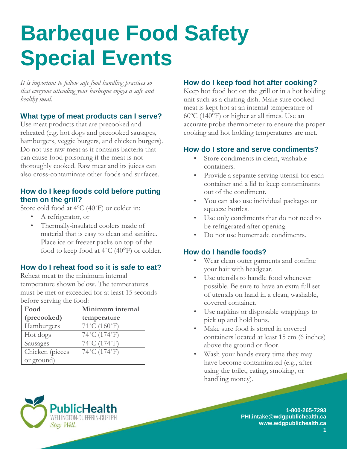# **Barbeque Food Safety Special Events**

*It is important to follow safe food handling practices so that everyone attending your barbeque enjoys a safe and healthy meal.* 

### **What type of meat products can I serve?**

Use meat products that are precooked and reheated (e.g. hot dogs and precooked sausages, hamburgers, veggie burgers, and chicken burgers). Do not use raw meat as it contains bacteria that can cause food poisoning if the meat is not thoroughly cooked. Raw meat and its juices can also cross-contaminate other foods and surfaces.

#### **How do I keep foods cold before putting them on the grill?**

Store cold food at 4ºC (40˚F) or colder in:

- A refrigerator, or
- Thermally-insulated coolers made of material that is easy to clean and sanitize. Place ice or freezer packs on top of the food to keep food at  $4^{\circ}$ C (40 $^{\circ}$ F) or colder.

## **How do I reheat food so it is safe to eat?**

Reheat meat to the minimum internal temperature shown below. The temperatures must be met or exceeded for at least 15 seconds before serving the food:

| Food            | Minimum internal                  |
|-----------------|-----------------------------------|
| (precooked)     | temperature                       |
| Hamburgers      | $71^{\circ}$ C (160 $^{\circ}$ F) |
| Hot dogs        | 74°C (174°F)                      |
| Sausages        | 74°C (174°F)                      |
| Chicken (pieces | 74°C (174°F)                      |
| or ground)      |                                   |

NGTON-DUFFERIN-GUELP

Stay Well.

# **How do I keep food hot after cooking?**

Keep hot food hot on the grill or in a hot holding unit such as a chafing dish. Make sure cooked meat is kept hot at an internal temperature of 60ºC (140°F) or higher at all times. Use an accurate probe thermometer to ensure the proper cooking and hot holding temperatures are met.

# **How do I store and serve condiments?**

- Store condiments in clean, washable containers.
- Provide a separate serving utensil for each container and a lid to keep contaminants out of the condiment.
- You can also use individual packages or squeeze bottles.
- Use only condiments that do not need to be refrigerated after opening.
- Do not use homemade condiments.

# **How do I handle foods?**

- Wear clean outer garments and confine your hair with headgear.
- Use utensils to handle food whenever possible. Be sure to have an extra full set of utensils on hand in a clean, washable, covered container.
- Use napkins or disposable wrappings to pick up and hold buns.
- Make sure food is stored in covered containers located at least 15 cm (6 inches) above the ground or floor.
- Wash your hands every time they may have become contaminated (e.g., after using the toilet, eating, smoking, or handling money).